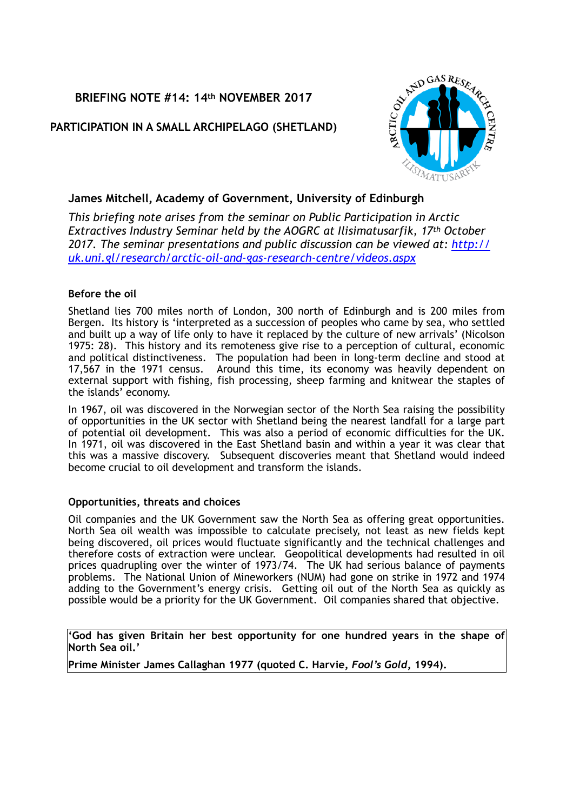# **BRIEFING NOTE #14: 14th NOVEMBER 2017**

# **PARTICIPATION IN A SMALL ARCHIPELAGO (SHETLAND)**



### **James Mitchell, Academy of Government, University of Edinburgh**

*This briefing note arises from the seminar on Public Participation in Arctic Extractives Industry Seminar held by the AOGRC at Ilisimatusarfik, 17th October 2017. The seminar presentations and public discussion can be viewed at: [http://](http://uk.uni.gl/research/arctic-oil-and-gas-research-centre/videos.aspx) [uk.uni.gl/research/arctic-oil-and-gas-research-centre/videos.aspx](http://uk.uni.gl/research/arctic-oil-and-gas-research-centre/videos.aspx)*

#### **Before the oil**

Shetland lies 700 miles north of London, 300 north of Edinburgh and is 200 miles from Bergen. Its history is 'interpreted as a succession of peoples who came by sea, who settled and built up a way of life only to have it replaced by the culture of new arrivals' (Nicolson 1975: 28). This history and its remoteness give rise to a perception of cultural, economic and political distinctiveness. The population had been in long-term decline and stood at 17,567 in the 1971 census. Around this time, its economy was heavily dependent on external support with fishing, fish processing, sheep farming and knitwear the staples of the islands' economy.

In 1967, oil was discovered in the Norwegian sector of the North Sea raising the possibility of opportunities in the UK sector with Shetland being the nearest landfall for a large part of potential oil development. This was also a period of economic difficulties for the UK. In 1971, oil was discovered in the East Shetland basin and within a year it was clear that this was a massive discovery. Subsequent discoveries meant that Shetland would indeed become crucial to oil development and transform the islands.

### **Opportunities, threats and choices**

Oil companies and the UK Government saw the North Sea as offering great opportunities. North Sea oil wealth was impossible to calculate precisely, not least as new fields kept being discovered, oil prices would fluctuate significantly and the technical challenges and therefore costs of extraction were unclear. Geopolitical developments had resulted in oil prices quadrupling over the winter of 1973/74. The UK had serious balance of payments problems. The National Union of Mineworkers (NUM) had gone on strike in 1972 and 1974 adding to the Government's energy crisis. Getting oil out of the North Sea as quickly as possible would be a priority for the UK Government. Oil companies shared that objective.

**'God has given Britain her best opportunity for one hundred years in the shape of North Sea oil.'**

**Prime Minister James Callaghan 1977 (quoted C. Harvie,** *Fool's Gold***, 1994).**